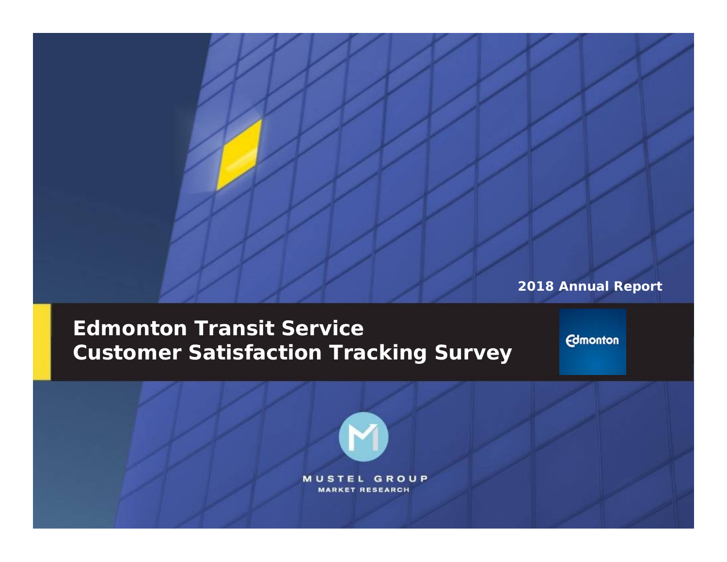**2018 Annual Report**

**2018 Annual Report**

# **Edmonton Transit Service Customer Satisfaction Tracking Survey**

**Edmonton** 

**MUSTEL GROUP MARKET RESEARCH**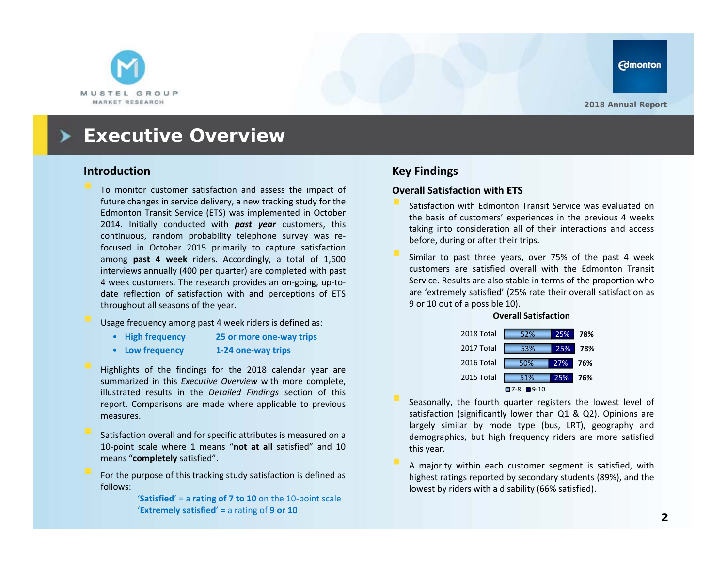

### **Executive Overview**

#### **Introduction**

 To monitor customer satisfaction and assess the impact of future changes in service delivery, <sup>a</sup> new tracking study for the Edmonton Transit Service (ETS) was implemented in October 2014. Initially conducted with *past year* customers, this continuous, random probability telephone survey was re‐ focused in October 2015 primarily to capture satisfaction among **past 4 week** riders. Accordingly, <sup>a</sup> total of 1,600 interviews annually (400 per quarter) are completed with past 4 week customers. The research provides an on‐going, up‐to‐ date reflection of satisfaction with and perceptions of ETS throughout all seasons of the year.

Usage frequency among past 4 week riders is defined as:

- High frequency **High frequency 25 or more one‐way trips**
- Low frequency **Low frequency 1‐24 one‐way trips**
- Highlights of the findings for the 2018 calendar year are summarized in this *Executive Overview* with more complete, illustrated results in the *Detailed Findings* section of this report. Comparisons are made where applicable to previous measures.
- Satisfaction overall and for specific attributes is measured on <sup>a</sup> 10‐point scale where 1 means "**not at all** satisfied" and 10 means "**completely** satisfied".
- For the purpose of this tracking study satisfaction is defined as follows:

'**Satisfied**' = a **rating of 7 to 10** on the 10‐point scale '**Extremely satisfied**' = a rating of **9 or 10**

#### **Key Findings**

#### **Overall Satisfaction with ETS**

- Satisfaction with Edmonton Transit Service was evaluated on the basis of customers' experiences in the previous 4 weeks taking into consideration all of their interactions and access before, during or after their trips.
- Similar to past three years, over 75% of the past 4 week customers are satisfied overall with the Edmonton Transit Service. Results are also stable in terms of the proportion who are 'extremely satisfied' (25% rate their overall satisfaction as 9 or 10 out of <sup>a</sup> possible 10).

#### **Overall Satisfaction**



- Seasonally, the fourth quarter registers the lowest level of satisfaction (significantly lower than Q1 & Q2). Opinions are largely similar by mode type (bus, LRT), geography and demographics, but high frequency riders are more satisfied this year.
- A majority within each customer segment is satisfied, with highest ratings reported by secondary students (89%), and the lowest by riders with <sup>a</sup> disability (66% satisfied).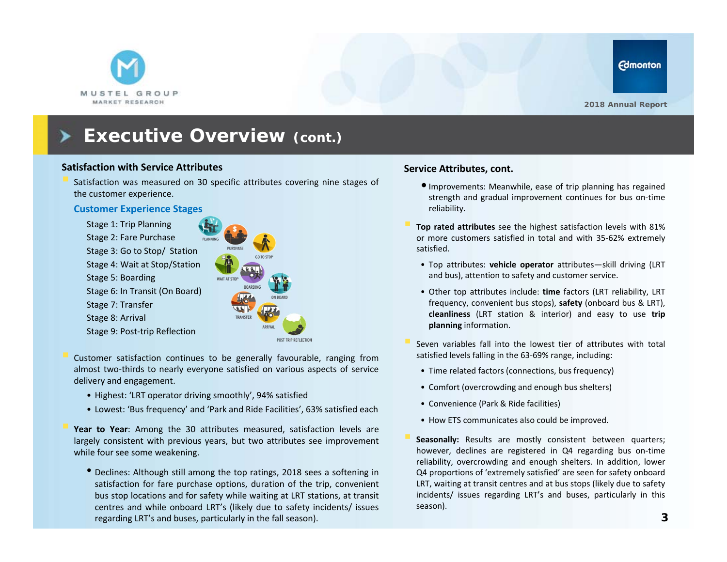

#### **Satisfaction with Service Attributes**

 Satisfaction was measured on 30 specific attributes covering nine stages of the customer experience.

#### **Customer Experience Stages**

Stage 1: Trip Planning Stage 2: Fare Purchase Stage 3: Go to Stop/ Station Stage 4: Wait at Stop/Station Stage 5: Boarding Stage 6: In Transit (On Board) Stage 7: Transfer Stage 8: Arrival Stage 9: Post‐trip Reflection

TRANSFER

POST TRIP REFLECTIO

 Customer satisfaction continues to be generally favourable, ranging from almost two‐thirds to nearly everyone satisfied on various aspects of service delivery and engagement.

- Highest: 'LRT operator driving smoothly', 94% satisfied
- Lowest: 'Bus frequency' and 'Park and Ride Facilities', 63% satisfied each

 **Year to Year**: Among the 30 attributes measured, satisfaction levels are largely consistent with previous years, but two attributes see improvement while four see some weakening.

• Declines: Although still among the top ratings, 2018 sees <sup>a</sup> softening in satisfaction for fare purchase options, duration of the trip, convenient bus stop locations and for safety while waiting at LRT stations, at transit centres and while onboard LRT's (likely due to safety incidents/ issues regarding LRT's and buses, particularly in the fall season).

#### **Service Attributes, cont.**

- •Improvements: Meanwhile, ease of trip planning has regained strength and gradual improvement continues for bus on-time reliability.
- **Top rated attributes** see the highest satisfaction levels with 81% or more customers satisfied in total and with 35‐62% extremely satisfied.
	- Top attributes: **vehicle operator** attributes—skill driving (LRT and bus), attention to safety and customer service.
	- Other top attributes include: **time** factors (LRT reliability, LRT frequency, convenient bus stops), **safety** (onboard bus & LRT), **cleanliness** (LRT station & interior) and easy to use **trip planning** information.
- Seven variables fall into the lowest tier of attributes with total satisfied levels falling in the 63‐69% range, including:
- Time related factors (connections, bus frequency)
- Comfort (overcrowding and enough bus shelters)
- Convenience (Park & Ride facilities)
- How ETS communicates also could be improved.
- Seasonally: Results are mostly consistent between quarters: however, declines are registered in Q4 regarding bus on-time reliability, overcrowding and enough shelters. In addition, lower Q4 proportions of 'extremely satisfied' are seen for safety onboard LRT, waiting at transit centres and at bus stops (likely due to safety incidents/ issues regarding LRT's and buses, particularly in this season).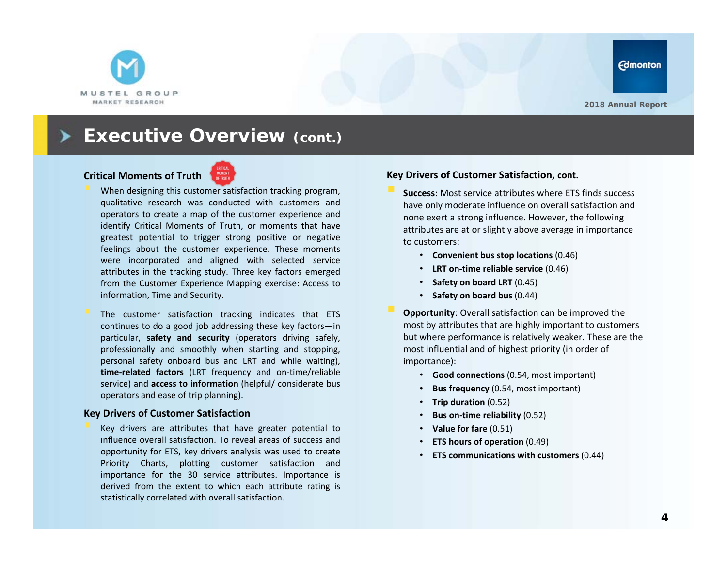

#### **Critical Moments of Truth**



- When designing this customer satisfaction tracking program, qualitative research was conducted with customers and operators to create <sup>a</sup> map of the customer experience and identify Critical Moments of Truth, or moments that have greatest potential to trigger strong positive or negative feelings about the customer experience. These moments were incorporated and aligned with selected service attributes in the tracking study. Three key factors emerged from the Customer Experience Mapping exercise: Access to information, Time and Security.
- The customer satisfaction tracking indicates that ETS continues to do <sup>a</sup> good job addressing these key factors—in particular, **safety and security** (operators driving safely, professionally and smoothly when starting and stopping, personal safety onboard bus and LRT and while waiting), **time‐related factors** (LRT frequency and on‐time/reliable service) and **access to information** (helpful/ considerate bus operators and ease of trip planning).

#### **Key Drivers of Customer Satisfaction**

 Key drivers are attributes that have greater potential to influence overall satisfaction. To reveal areas of success and opportunity for ETS, key drivers analysis was used to create Priority Charts, plotting customer satisfaction and importance for the 30 service attributes. Importance is derived from the extent to which each attribute rating is statistically correlated with overall satisfaction.

#### **Key Drivers of Customer Satisfaction, cont.**

 **Success**: Most service attributes where ETS finds success have only moderate influence on overall satisfaction and none exert a strong influence. However, the following attributes are at or slightly above average in importance to customers:

- **Convenient bus stop locations** (0.46)
- **LRT on‐time reliable service** (0.46)
- **Safety on board LRT** (0.45)
- **Safety on board bus** (0.44)
- **Opportunity**: Overall satisfaction can be improved the most by attributes that are highly important to customers but where performance is relatively weaker. These are the most influential and of highest priority (in order of importance):
	- **Good connections** (0.54, most important)
	- •**Bus frequency** (0.54, most important)
	- •**Trip duration** (0.52)
	- •**Bus on‐time reliability** (0.52)
	- **Value for fare** (0.51)
	- •**ETS hours of operation** (0.49)
	- •**ETS communications with customers** (0.44)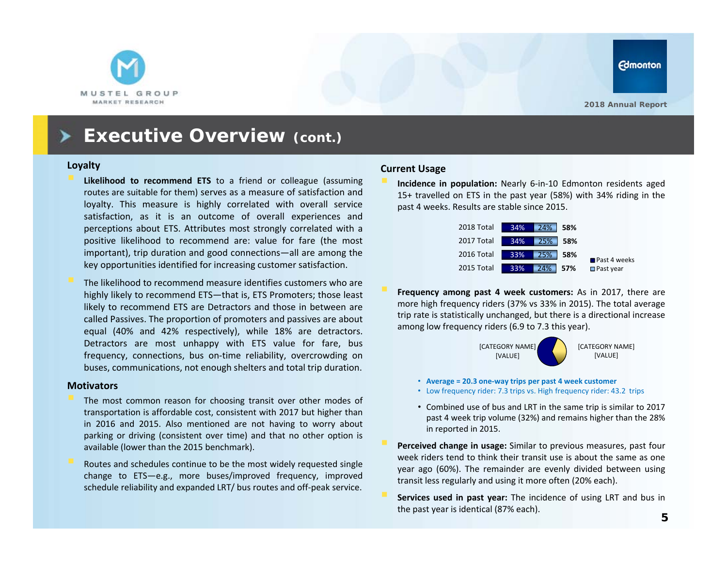

#### **Loyalty**

- **Likelihood to recommend ETS** to <sup>a</sup> friend or colleague (assuming routes are suitable for them) serves as <sup>a</sup> measure of satisfaction and loyalty. This measure is highly correlated with overall service satisfaction, as it is an outcome of overall experiences and perceptions about ETS. Attributes most strongly correlated with <sup>a</sup> positive likelihood to recommend are: value for fare (the most important), trip duration and good connections—all are among the key opportunities identified for increasing customer satisfaction.
- The likelihood to recommend measure identifies customers who are highly likely to recommend ETS—that is, ETS Promoters; those least likely to recommend ETS are Detractors and those in between are called Passives. The proportion of promoters and passives are about equal (40% and 42% respectively), while 18% are detractors. Detractors are most unhappy with ETS value for fare, bus frequency, connections, bus on-time reliability, overcrowding on buses, communications, not enough shelters and total trip duration.

#### **Motivators**

- The most common reason for choosing transit over other modes of transportation is affordable cost, consistent with 2017 but higher than in 2016 and 2015. Also mentioned are not having to worry about parking or driving (consistent over time) and that no other option is available (lower than the 2015 benchmark).
- Routes and schedules continue to be the most widely requested single change to ETS—e.g., more buses/improved frequency, improved schedule reliability and expanded LRT/ bus routes and off‐peak service.

#### **Current Usage**

 **Incidence in population:** Nearly 6‐in‐10 Edmonton residents aged 15+ travelled on ETS in the past year (58%) with 34% riding in the past 4 weeks. Results are stable since 2015.



 **Frequency among past 4 week customers:** As in 2017, there are more high frequency riders (37% vs 33% in 2015). The total average trip rate is statistically unchanged, but there is <sup>a</sup> directional increase among low frequency riders (6.9 to 7.3 this year).



- **Average <sup>=</sup> 20.3 one‐way trips per past 4 week customer**
- Low frequency rider: 7.3 trips vs. High frequency rider: 43.2 trips
- Combined use of bus and LRT in the same trip is similar to 2017 past 4 week trip volume (32%) and remains higher than the 28% in reported in 2015.
- **Perceived change in usage:** Similar to previous measures, past four week riders tend to think their transit use is about the same as one year ago (60%). The remainder are evenly divided between using transit less regularly and using it more often (20% each).
- **Services used in past year:** The incidence of using LRT and bus in the past year is identical (87% each).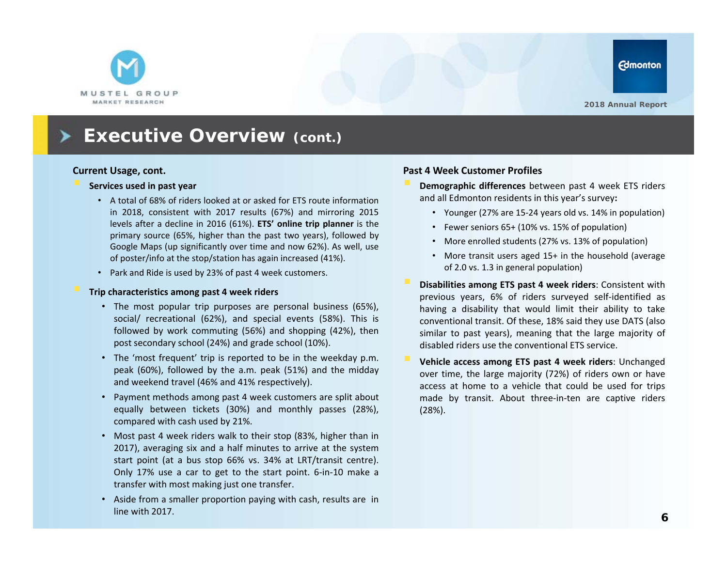

#### **Current Usage, cont.**

#### **Services used in past year**

- A total of 68% of riders looked at or asked for ETS route information in 2018, consistent with 2017 results (67%) and mirroring 2015 levels after <sup>a</sup> decline in 2016 (61%). **ETS' online trip planner** is the primary source (65%, higher than the past two years), followed by Google Maps (up significantly over time and now 62%). As well, use of poster/info at the stop/station has again increased (41%).
- Park and Ride is used by 23% of past 4 week customers.

#### **Trip characteristics among past 4 week riders**

- The most popular trip purposes are personal business (65%), social/ recreational (62%), and special events (58%). This is followed by work commuting (56%) and shopping (42%), then post secondary school (24%) and grade school (10%).
- The 'most frequent' trip is reported to be in the weekday p.m. peak (60%), followed by the a.m. peak (51%) and the midday and weekend travel (46% and 41% respectively).
- Payment methods among past 4 week customers are split about equally between tickets (30%) and monthly passes (28%), compared with cash used by 21%.
- Most past 4 week riders walk to their stop (83%, higher than in 2017), averaging six and <sup>a</sup> half minutes to arrive at the system start point (at <sup>a</sup> bus stop 66% vs. 34% at LRT/transit centre). Only 17% use <sup>a</sup> car to get to the start point. 6‐in‐10 make <sup>a</sup> transfer with most making just one transfer.
- Aside from <sup>a</sup> smaller proportion paying with cash, results are in line with 2017.

#### **Past 4 Week Customer Profiles**

 **Demographic differences** between past 4 week ETS riders and all Edmonton residents in this year's survey**:**

- Younger (27% are 15‐24 years old vs. 14% in population)
- Fewer seniors 65+ (10% vs. 15% of population)
- More enrolled students (27% vs. 13% of population)
- More transit users aged 15+ in the household (average of 2.0 vs. 1.3 in general population)
- **Disabilities among ETS past 4 week riders**: Consistent with previous years, 6% of riders surveyed self‐identified as having <sup>a</sup> disability that would limit their ability to take conventional transit. Of these, 18% said they use DATS (also similar to past years), meaning that the large majority of disabled riders use the conventional ETS service.
- **Vehicle access among ETS past 4 week riders**: Unchanged over time, the large majority (72%) of riders own or have access at home to <sup>a</sup> vehicle that could be used for trips made by transit. About three‐in‐ten are captive riders (28%).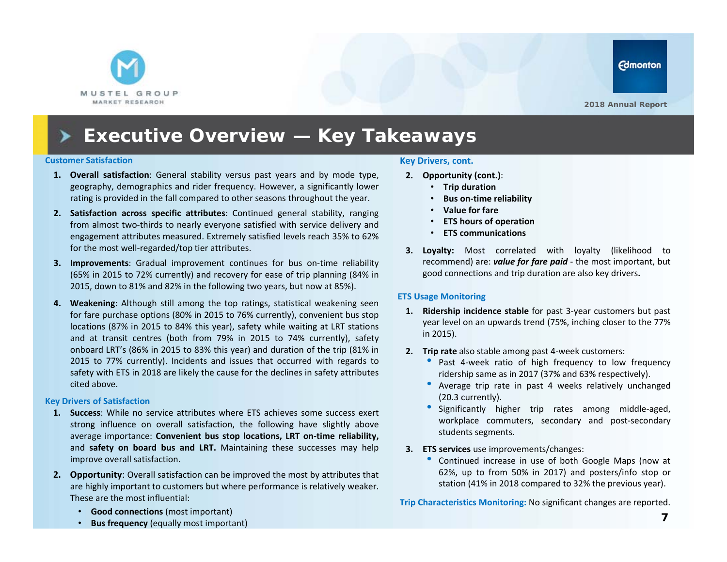

# **Executive Overview — Key Takeaways**

#### **Customer Satisfaction**

- **1. Overall satisfaction**: General stability versus past years and by mode type, geography, demographics and rider frequency. However, <sup>a</sup> significantly lower rating is provided in the fall compared to other seasons throughout the year.
- **2. Satisfaction across specific attributes**: Continued general stability, ranging from almost two-thirds to nearly everyone satisfied with service delivery and engagement attributes measured. Extremely satisfied levels reach 35% to 62% for the most well-regarded/top tier attributes.
- **3. Improvements**: Gradual improvement continues for bus on‐time reliability (65% in 2015 to 72% currently) and recovery for ease of trip planning (84% in 2015, down to 81% and 82% in the following two years, but now at 85%).
- **4. Weakening**: Although still among the top ratings, statistical weakening seen for fare purchase options (80% in 2015 to 76% currently), convenient bus stop locations (87% in 2015 to 84% this year), safety while waiting at LRT stations and at transit centres (both from 79% in 2015 to 74% currently), safety onboard LRT's (86% in 2015 to 83% this year) and duration of the trip (81% in 2015 to 77% currently). Incidents and issues that occurred with regards to safety with ETS in 2018 are likely the cause for the declines in safety attributes cited above.

#### **Key Drivers of Satisfaction**

- **1. Success**: While no service attributes where ETS achieves some success exert strong influence on overall satisfaction, the following have slightly above average importance: **Convenient bus stop locations, LRT on‐time reliability,** and **safety on board bus and LRT.** Maintaining these successes may help improve overall satisfaction.
- **2. Opportunity**: Overall satisfaction can be improved the most by attributes that are highly important to customers but where performance is relatively weaker. These are the most influential:

#### **Key Drivers, cont.**

- **2. Opportunity (cont.)**:
	- **Trip duration**
	- •**Bus on‐time reliability**
	- **Value for fare**
	- •**ETS hours of operation**
	- **ETS communications**
- **3. Loyalty:** Most correlated with loyalty (likelihood to recommend) are: *value for fare paid* ‐ the most important, but good connections and trip duration are also key drivers**.**

#### **ETS Usage Monitoring**

- **1. Ridership incidence stable** for past 3‐year customers but past year level on an upwards trend (75%, inching closer to the 77% in 2015).
- **2. Trip rate** also stable among past 4‐week customers:
	- Past 4-week ratio of high frequency to low frequency ridership same as in 2017 (37% and 63% respectively).
	- Average trip rate in past 4 weeks relatively unchanged (20.3 currently).
	- Significantly higher trip rates among middle‐aged, workplace commuters, secondary and post-secondary students segments.
- **3. ETS services** use improvements/changes:
	- Continued increase in use of both Google Maps (now at 62%, up to from 50% in 2017) and posters/info stop or station (41% in 2018 compared to 32% the previous year).

**Trip Characteristics Monitoring:** No significant changes are reported.

- **Good connections** (most important)
- •**Bus frequency** (equally most important)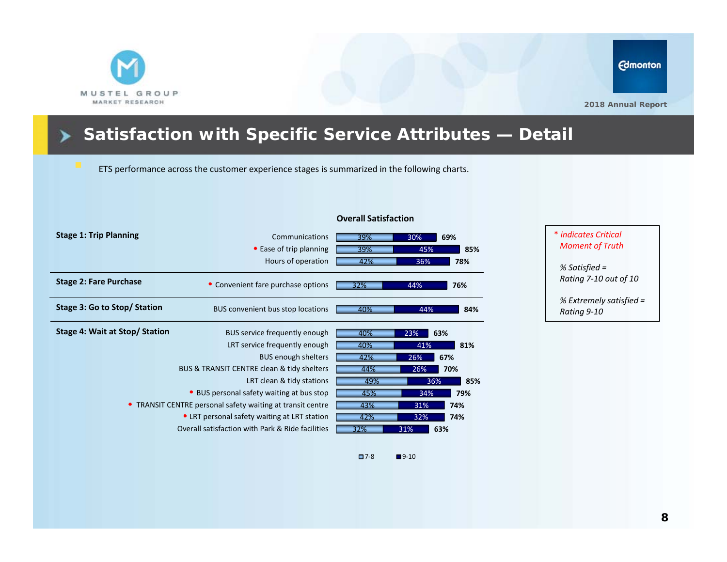

# **Satisfaction with Specific Service Attributes — Detail**

ETS performance across the customer experience stages is summarized in the following charts.

| <b>Stage 1: Trip Planning</b>                              |                                                  |     |            |
|------------------------------------------------------------|--------------------------------------------------|-----|------------|
|                                                            | Communications                                   | 39% | 30%<br>69% |
|                                                            | • Ease of trip planning                          | 39% | 45%<br>85% |
|                                                            | Hours of operation                               | 42% | 36%<br>78% |
| <b>Stage 2: Fare Purchase</b>                              | • Convenient fare purchase options               | 32% | 44%<br>76% |
| Stage 3: Go to Stop/ Station                               | BUS convenient bus stop locations                | 40% | 44%<br>84% |
| Stage 4: Wait at Stop/ Station                             | BUS service frequently enough                    | 40% | 23%<br>63% |
|                                                            | LRT service frequently enough                    | 40% | 41%<br>81% |
|                                                            | <b>BUS enough shelters</b>                       | 42% | 26%<br>67% |
| BUS & TRANSIT CENTRE clean & tidy shelters                 |                                                  | 44% | 26%<br>70% |
|                                                            | LRT clean & tidy stations                        | 49% | 85%<br>36% |
| • BUS personal safety waiting at bus stop                  |                                                  | 45% | 34%<br>79% |
| • TRANSIT CENTRE personal safety waiting at transit centre |                                                  | 43% | 31%<br>74% |
| • LRT personal safety waiting at LRT station               |                                                  | 42% | 32%<br>74% |
|                                                            | Overall satisfaction with Park & Ride facilities | 32% | 63%<br>31% |

#### **Overall Satisfaction**

 $\Box$  7-8

 $\blacksquare$ 9-10

#### \* *indicates Critical Moment of Truth*

*% Satisfied = Rating 7‐10 out of 10*

*% Extremely satisfied = Rating 9‐10*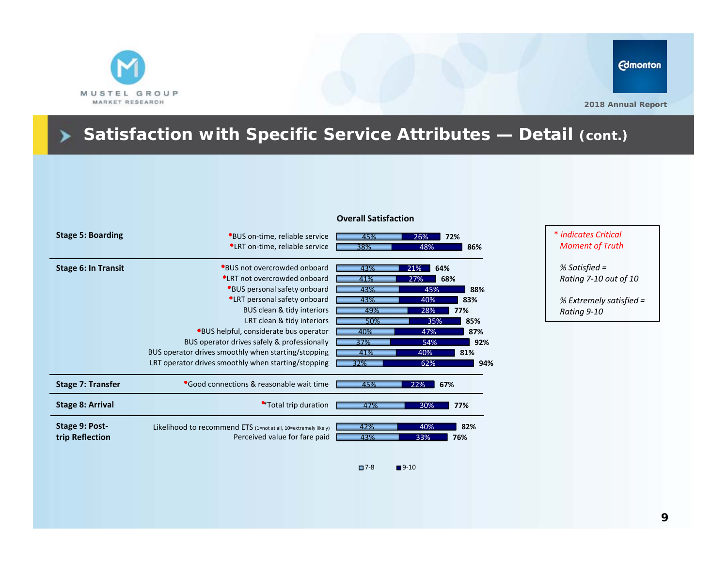

▶

# **Satisfaction with Specific Service Attributes — Detail (cont.)**

| <b>Stage 5: Boarding</b>   | *BUS on-time, reliable service                                  | 45% | 26%        | 72% |
|----------------------------|-----------------------------------------------------------------|-----|------------|-----|
|                            | <b>*LRT</b> on-time, reliable service                           | 38% | 48%        | 86% |
| <b>Stage 6: In Transit</b> | *BUS not overcrowded onboard                                    | 43% | 21%<br>64% |     |
|                            | <b>*LRT</b> not overcrowded onboard                             | 41% | 27%<br>68% |     |
|                            | *BUS personal safety onboard                                    | 43% | 45%        | 88% |
|                            | <b>*LRT</b> personal safety onboard                             | 43% | 40%        | 83% |
|                            | BUS clean & tidy interiors                                      | 49% | 28%        | 77% |
|                            | LRT clean & tidy interiors                                      | 50% | 35%        | 85% |
|                            | *BUS helpful, considerate bus operator                          | 40% | 47%        | 87% |
|                            | BUS operator drives safely & professionally                     | 37% | 54%        | 92% |
|                            | BUS operator drives smoothly when starting/stopping             | 41% | 40%        | 81% |
|                            | LRT operator drives smoothly when starting/stopping             | 32% | 62%        | 94% |
| <b>Stage 7: Transfer</b>   | <b>Good connections &amp; reasonable wait time</b>              | 45% | 22%<br>67% |     |
| <b>Stage 8: Arrival</b>    | *Total trip duration                                            | 47% | 30%        | 77% |
| Stage 9: Post-             | Likelihood to recommend ETS (1=not at all, 10=extremely likely) | 42% | 40%        | 82% |
| trip Reflection            | Perceived value for fare paid                                   | 43% | 33%        | 76% |
|                            |                                                                 |     |            |     |

#### **Overall Satisfaction**

#### \* *indicates Critical Moment of Truth*

*% Satisfied = Rating 7‐10 out of 10*

*% Extremely satisfied = Rating 9‐10*

 $\square$ 7-8  $\blacksquare$ 9-10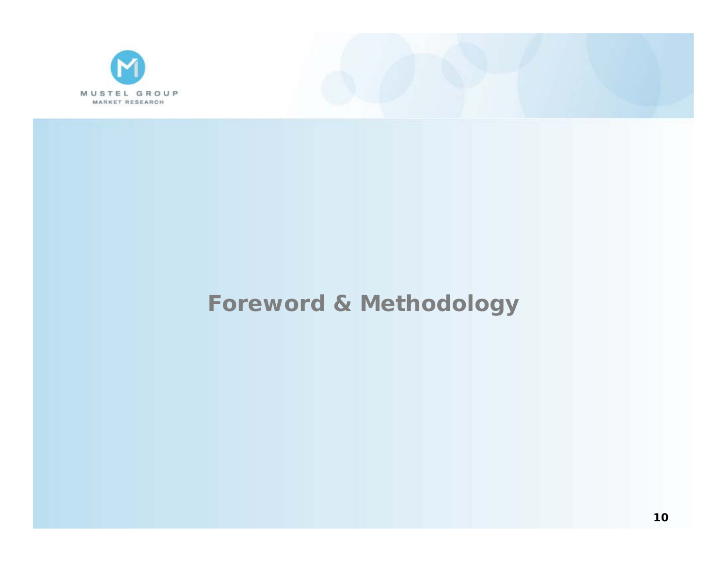



# **Foreword & Methodology**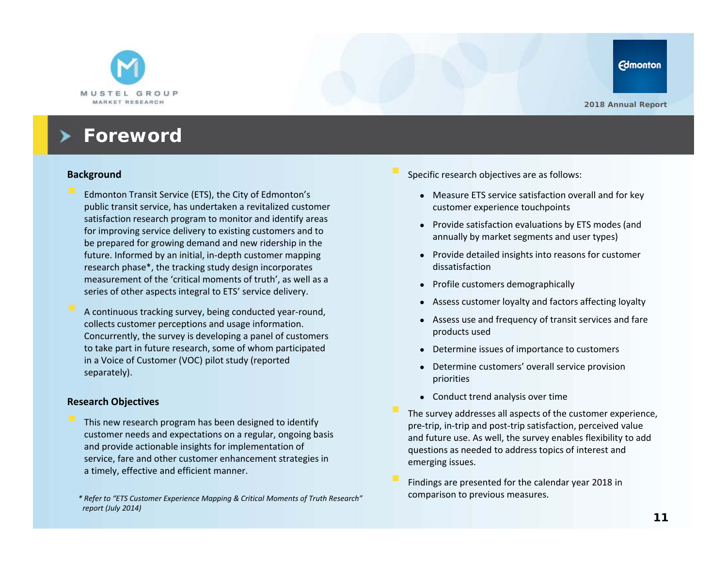

### **Foreword**

#### **Background**

- Edmonton Transit Service (ETS), the City of Edmonton's public transit service, has undertaken a revitalized customer satisfaction research program to monitor and identify areas for improving service delivery to existing customers and to be prepared for growing demand and new ridership in the future. Informed by an initial, in‐depth customer mapping research phase\*, the tracking study design incorporates measurement of the 'critical moments of truth', as well as a series of other aspects integral to ETS' service delivery.
- A continuous tracking survey, being conducted year‐round, collects customer perceptions and usage information. Concurrently, the survey is developing a panel of customers to take part in future research, some of whom participated in a Voice of Customer (VOC) pilot study (reported separately).

#### **Research Objectives**

 This new research program has been designed to identify customer needs and expectations on a regular, ongoing basis and provide actionable insights for implementation of service, fare and other customer enhancement strategies in a timely, effective and efficient manner.

Specific research objectives are as follows:

- Measure ETS service satisfaction overall and for key customer experience touchpoints
- Provide satisfaction evaluations by ETS modes (and annually by market segments and user types)
- Provide detailed insights into reasons for customer dissatisfaction
- Profile customers demographically
- Assess customer loyalty and factors affecting loyalty
- Assess use and frequency of transit services and fare products used
- Determine issues of importance to customers
- Determine customers' overall service provision priorities
- Conduct trend analysis over time
- The survey addresses all aspects of the customer experience, pre-trip, in-trip and post-trip satisfaction, perceived value and future use. As well, the survey enables flexibility to add questions as needed to address topics of interest and emerging issues.
- Findings are presented for the calendar year 2018 in comparison to previous measures.

*<sup>\*</sup> Refer to "ETS Customer Experience Mapping & Critical Moments of Truth Research" report (July 2014)*